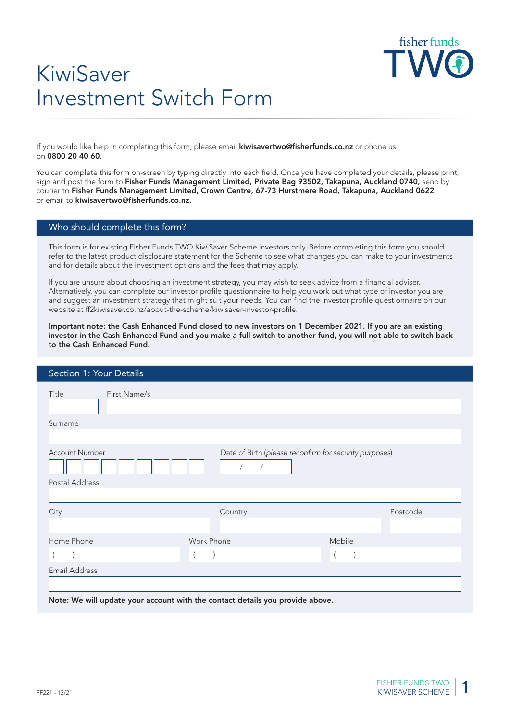# KiwiSaver Investment Switch Form



If you would like help in completing this form, please email **kiwisavertwo@fisherfunds.co.nz** or phone us on 0800 20 40 60.

You can complete this form on-screen by typing directly into each field. Once you have completed your details, please print, sign and post the form to Fisher Funds Management Limited, Private Bag 93502, Takapuna, Auckland 0740, send by courier to Fisher Funds Management Limited, Crown Centre, 67-73 Hurstmere Road, Takapuna, Auckland 0622, or email to kiwisavertwo@fisherfunds.co.nz.

## Who should complete this form?

This form is for existing Fisher Funds TWO KiwiSaver Scheme investors only. Before completing this form you should refer to the latest product disclosure statement for the Scheme to see what changes you can make to your investments and for details about the investment options and the fees that may apply.

If you are unsure about choosing an investment strategy, you may wish to seek advice from a financial adviser. Alternatively, you can complete our investor profile questionnaire to help you work out what type of investor you are and suggest an investment strategy that might suit your needs. You can find the investor profile questionnaire on our website at ff2kiwisaver.co.nz/about-the-scheme/kiwisaver-investor-profile.

Important note: the Cash Enhanced Fund closed to new investors on 1 December 2021. If you are an existing investor in the Cash Enhanced Fund and you make a full switch to another fund, you will not able to switch back to the Cash Enhanced Fund.

## Section 1: Your Details

| Title<br>First Name/s                                                         |                                                        |        |          |
|-------------------------------------------------------------------------------|--------------------------------------------------------|--------|----------|
| Surname                                                                       |                                                        |        |          |
| <b>Account Number</b>                                                         | Date of Birth (please reconfirm for security purposes) |        |          |
| Postal Address                                                                |                                                        |        |          |
| City                                                                          | Country                                                |        | Postcode |
|                                                                               |                                                        |        |          |
| Home Phone                                                                    | Work Phone                                             | Mobile |          |
|                                                                               |                                                        |        |          |
| <b>Email Address</b>                                                          |                                                        |        |          |
|                                                                               |                                                        |        |          |
| Note: We will update your account with the contact details you provide above. |                                                        |        |          |